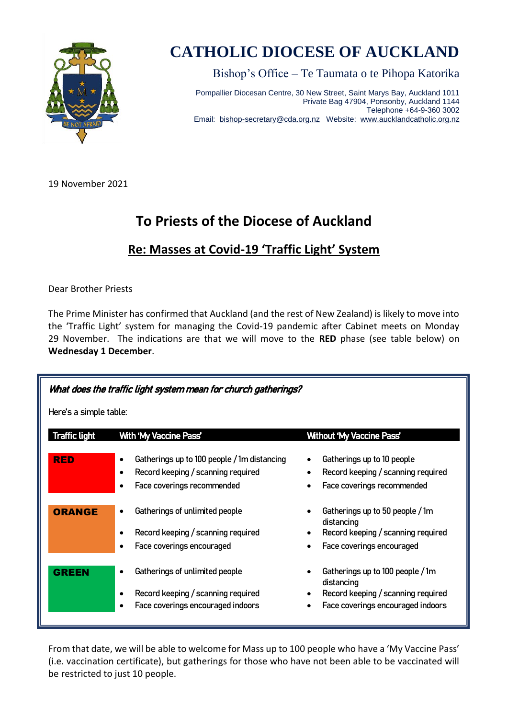

## **CATHOLIC DIOCESE OF AUCKLAND**

Bishop's Office – Te Taumata o te Pihopa Katorika

Pompallier Diocesan Centre, 30 New Street, Saint Marys Bay, Auckland 1011 Private Bag 47904, Ponsonby, Auckland 1144 Telephone +64-9-360 3002 Email: [bishop-secretary@cda.org.nz](mailto:bishop-secretary@cda.org.nz) Website: [www.aucklandcatholic.org.nz](http://www.aucklandcatholic.org.nz/)

19 November 2021

## **To Priests of the Diocese of Auckland**

## **Re: Masses at Covid-19 'Traffic Light' System**

Dear Brother Priests

The Prime Minister has confirmed that Auckland (and the rest of New Zealand) is likely to move into the 'Traffic Light' system for managing the Covid-19 pandemic after Cabinet meets on Monday 29 November. The indications are that we will move to the **RED** phase (see table below) on **Wednesday 1 December**.

| What does the traffic light system mean for church gatherings? |                                                                                                                              |                                                                                                                           |
|----------------------------------------------------------------|------------------------------------------------------------------------------------------------------------------------------|---------------------------------------------------------------------------------------------------------------------------|
| Here's a simple table:                                         |                                                                                                                              |                                                                                                                           |
| <b>Traffic light</b>                                           | <b>With 'My Vaccine Pass'</b>                                                                                                | <b>Without 'My Vaccine Pass'</b>                                                                                          |
| <b>RED</b>                                                     | Gatherings up to 100 people / 1m distancing<br>$\bullet$<br>Record keeping / scanning required<br>Face coverings recommended | Gatherings up to 10 people<br>Record keeping / scanning required<br>Face coverings recommended                            |
| <b>ORANGE</b>                                                  | Gatherings of unlimited people<br>$\bullet$<br>Record keeping / scanning required<br>Face coverings encouraged               | Gatherings up to 50 people / 1m<br>distancing<br>Record keeping / scanning required<br>Face coverings encouraged          |
| <b>GREEN</b>                                                   | Gatherings of unlimited people<br>Record keeping / scanning required<br>Face coverings encouraged indoors                    | Gatherings up to 100 people / 1m<br>distancing<br>Record keeping / scanning required<br>Face coverings encouraged indoors |

From that date, we will be able to welcome for Mass up to 100 people who have a 'My Vaccine Pass' (i.e. vaccination certificate), but gatherings for those who have not been able to be vaccinated will be restricted to just 10 people.